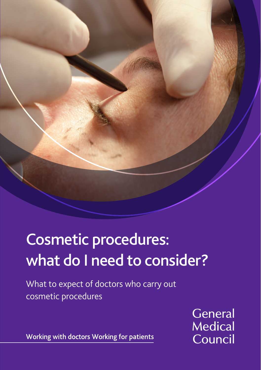# Cosmetic procedures: what do I need to consider?

What to expect of doctors who carry out cosmetic procedures

> General **Medical** Council

Working with doctors Working for patients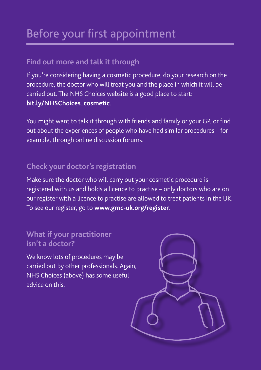### Before your first appointment

#### **Find out more and talk it through**

If you're considering having a cosmetic procedure, do your research on the procedure, the doctor who will treat you and the place in which it will be carried out. The NHS Choices website is a good place to start: **[bit.ly/NHSChoices\\_cosmetic](http://bit.ly/NHSChoices_cosmetic)**.

You might want to talk it through with friends and family or your GP, or find out about the experiences of people who have had similar procedures – for example, through online discussion forums.

#### **Check your doctor's registration**

Make sure the doctor who will carry out your cosmetic procedure is registered with us and holds a licence to practise – only doctors who are on our register with a licence to practise are allowed to treat patients in the UK. To see our register, go to **[www.gmc-uk.org/register](http://www.gmc-uk.org/register)**.

#### **What if your practitioner isn't a doctor?**

We know lots of procedures may be carried out by other professionals. Again, NHS Choices (above) has some useful advice on this.

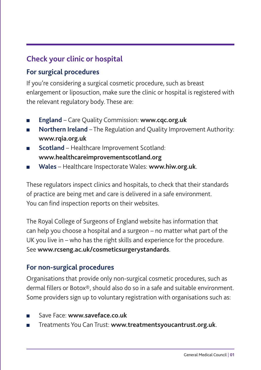### **Check your clinic or hospital**

#### **For surgical procedures**

If you're considering a surgical cosmetic procedure, such as breast enlargement or liposuction, make sure the clinic or hospital is registered with the relevant regulatory body. These are:

- **England** Care Quality Commission: **[www.cqc.org.uk](http://www.cqc.org.uk)**
- **Northern Ireland** The Regulation and Quality Improvement Authority: **[www.rqia.org.uk](http://www.rqia.org.uk)**
- **Scotland** Healthcare Improvement Scotland: **[www.healthcareimprovementscotland.org](http://www.healthcareimprovementscotland.org)**
- **Wales** Healthcare Inspectorate Wales: **[www.hiw.org.uk](http://www.hiw.org.uk)**.

These regulators inspect clinics and hospitals, to check that their standards of practice are being met and care is delivered in a safe environment. You can find inspection reports on their websites.

The Royal College of Surgeons of England website has information that can help you choose a hospital and a surgeon – no matter what part of the UK you live in – who has the right skills and experience for the procedure. See **[www.rcseng.ac.uk/cosmeticsurgerystandards](http://www.rcseng.ac.uk/cosmeticsurgerystandards)**.

#### **For non-surgical procedures**

Organisations that provide only non-surgical cosmetic procedures, such as dermal fillers or Botox®, should also do so in a safe and suitable environment. Some providers sign up to voluntary registration with organisations such as:

- Save Face: **www.saveface.co.uk**
- Treatments You Can Trust: **[www.treatmentsyoucantrust.org.uk](http://www.treatmentsyoucantrust.org.uk)**.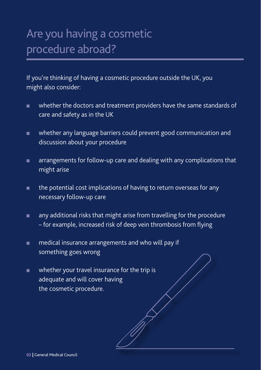### Are you having a cosmetic procedure abroad?

If you're thinking of having a cosmetic procedure outside the UK, you might also consider:

- whether the doctors and treatment providers have the same standards of care and safety as in the UK
- whether any language barriers could prevent good communication and discussion about your procedure
- arrangements for follow-up care and dealing with any complications that might arise
- the potential cost implications of having to return overseas for any necessary follow-up care
- any additional risks that might arise from travelling for the procedure – for example, increased risk of deep vein thrombosis from flying
- medical insurance arrangements and who will pay if something goes wrong
- whether your travel insurance for the trip is adequate and will cover having the cosmetic procedure.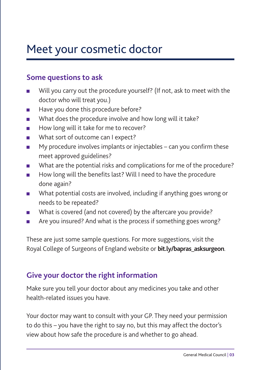### Meet your cosmetic doctor

#### **Some questions to ask**

- Will you carry out the procedure yourself? (If not, ask to meet with the doctor who will treat you.)
- Have you done this procedure before?
- What does the procedure involve and how long will it take?
- How long will it take for me to recover?
- What sort of outcome can I expect?
- My procedure involves implants or injectables can you confirm these meet approved guidelines?
- What are the potential risks and complications for me of the procedure?
- How long will the benefits last? Will I need to have the procedure done again?
- What potential costs are involved, including if anything goes wrong or needs to be repeated?
- What is covered (and not covered) by the aftercare you provide?
- Are you insured? And what is the process if something goes wrong?

These are just some sample questions. For more suggestions, visit the Royal College of Surgeons of England website or **[bit.ly/bapras\\_asksurgeon](http://bit.ly/bapras_asksurgeon)**.

#### **Give your doctor the right information**

Make sure you tell your doctor about any medicines you take and other health-related issues you have.

Your doctor may want to consult with your GP. They need your permission to do this – you have the right to say no, but this may affect the doctor's view about how safe the procedure is and whether to go ahead.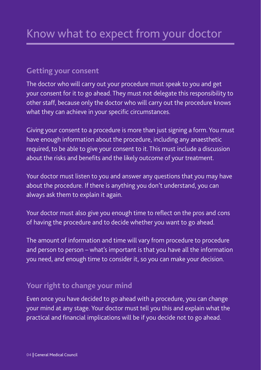#### **Getting your consent**

The doctor who will carry out your procedure must speak to you and get your consent for it to go ahead. They must not delegate this responsibility to other staff, because only the doctor who will carry out the procedure knows what they can achieve in your specific circumstances.

Giving your consent to a procedure is more than just signing a form. You must have enough information about the procedure, including any anaesthetic required, to be able to give your consent to it. This must include a discussion about the risks and benefits and the likely outcome of your treatment.

Your doctor must listen to you and answer any questions that you may have about the procedure. If there is anything you don't understand, you can always ask them to explain it again.

Your doctor must also give you enough time to reflect on the pros and cons of having the procedure and to decide whether you want to go ahead.

The amount of information and time will vary from procedure to procedure and person to person – what's important is that you have all the information you need, and enough time to consider it, so you can make your decision.

#### **Your right to change your mind**

Even once you have decided to go ahead with a procedure, you can change your mind at any stage. Your doctor must tell you this and explain what the practical and financial implications will be if you decide not to go ahead.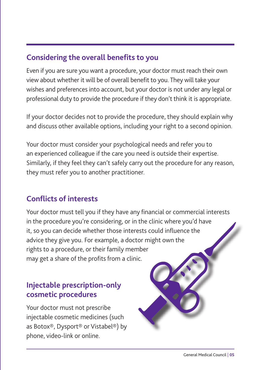#### **Considering the overall benefits to you**

Even if you are sure you want a procedure, your doctor must reach their own view about whether it will be of overall benefit to you. They will take your wishes and preferences into account, but your doctor is not under any legal or professional duty to provide the procedure if they don't think it is appropriate.

If your doctor decides not to provide the procedure, they should explain why and discuss other available options, including your right to a second opinion.

Your doctor must consider your psychological needs and refer you to an experienced colleague if the care you need is outside their expertise. Similarly, if they feel they can't safely carry out the procedure for any reason, they must refer you to another practitioner.

#### **Conflicts of interests**

Your doctor must tell you if they have any financial or commercial interests in the procedure you're considering, or in the clinic where you'd have it, so you can decide whether those interests could influence the advice they give you. For example, a doctor might own the rights to a procedure, or their family member may get a share of the profits from a clinic.

#### **Injectable prescription-only cosmetic procedures**

Your doctor must not prescribe injectable cosmetic medicines (such as Botox®, Dysport® or Vistabel®) by phone, video-link or online.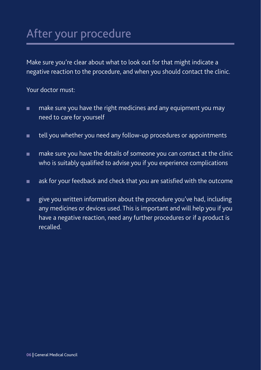### After your procedure

Make sure you're clear about what to look out for that might indicate a negative reaction to the procedure, and when you should contact the clinic.

Your doctor must:

- make sure you have the right medicines and any equipment you may need to care for yourself
- tell you whether you need any follow-up procedures or appointments
- make sure you have the details of someone you can contact at the clinic who is suitably qualified to advise you if you experience complications
- ask for your feedback and check that you are satisfied with the outcome
- give you written information about the procedure you've had, including any medicines or devices used. This is important and will help you if you have a negative reaction, need any further procedures or if a product is recalled.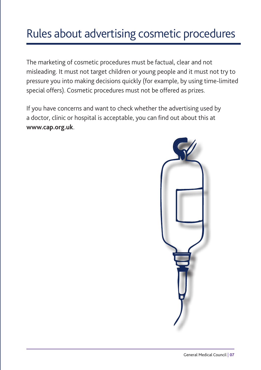### Rules about advertising cosmetic procedures

The marketing of cosmetic procedures must be factual, clear and not misleading. It must not target children or young people and it must not try to pressure you into making decisions quickly (for example, by using time-limited special offers). Cosmetic procedures must not be offered as prizes.

If you have concerns and want to check whether the advertising used by a doctor, clinic or hospital is acceptable, you can find out about this at **[www.cap.org.uk](http://www.cap.org.uk)**.

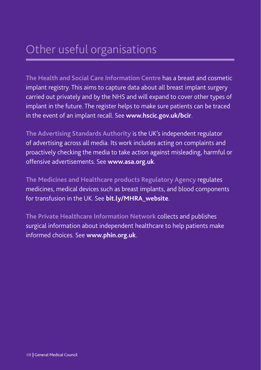### Other useful organisations

**The Health and Social Care Information Centre** has a breast and cosmetic implant registry. This aims to capture data about all breast implant surgery carried out privately and by the NHS and will expand to cover other types of implant in the future. The register helps to make sure patients can be traced in the event of an implant recall. See **[www.hscic.gov.uk/](http://www.hscic.gov.uk)bcir**.

**The Advertising Standards Authority** is the UK's independent regulator of advertising across all media. Its work includes acting on complaints and proactively checking the media to take action against misleading, harmful or offensive advertisements. See **[www.asa.org.uk](http://www.asa.org.uk)**.

**The Medicines and Healthcare products Regulatory Agency** regulates medicines, medical devices such as breast implants, and blood components for transfusion in the UK. See **[bit.ly/MHRA\\_website](http://bit.ly/MHRA_website)**.

**The Private Healthcare Information Network** collects and publishes surgical information about independent healthcare to help patients make informed choices. See **[www.phin.org.uk](http://www.phin.org.uk)**.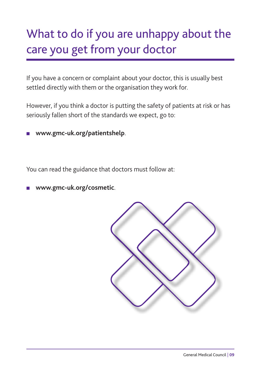## What to do if you are unhappy about the care you get from your doctor

If you have a concern or complaint about your doctor, this is usually best settled directly with them or the organisation they work for.

However, if you think a doctor is putting the safety of patients at risk or has seriously fallen short of the standards we expect, go to:

■ **[www.gmc-uk.org/p](http://www.gmc-uk.org/patientshelp)atientshelp**.

You can read the guidance that doctors must follow at:

■ **[www.gmc-uk.org/cosmetic](http://www.gmc-uk.org/cosmetic)**.